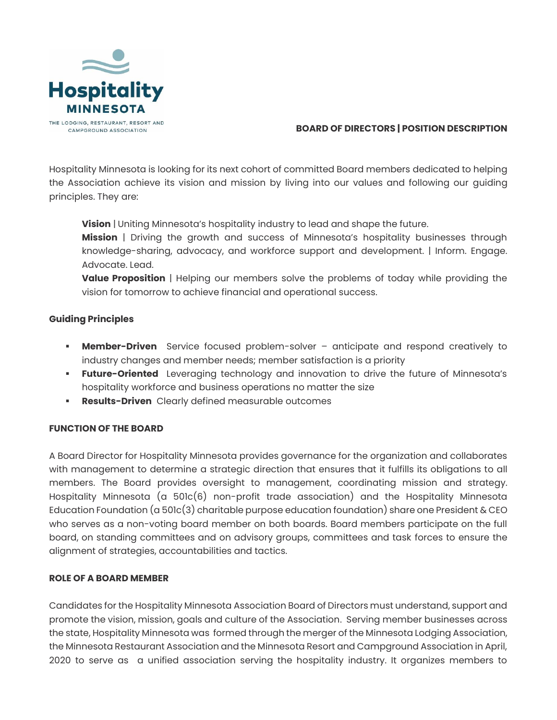

## **BOARD OF DIRECTORS | POSITION DESCRIPTION**

Hospitality Minnesota is looking for its next cohort of committed Board members dedicated to helping the Association achieve its vision and mission by living into our values and following our guiding principles. They are:

**Vision** | Uniting Minnesota's hospitality industry to lead and shape the future.

**Mission** | Driving the growth and success of Minnesota's hospitality businesses through knowledge-sharing, advocacy, and workforce support and development. | Inform. Engage. Advocate. Lead.

**Value Proposition** | Helping our members solve the problems of today while providing the vision for tomorrow to achieve financial and operational success.

# **Guiding Principles**

- **Member-Driven** Service focused problem-solver anticipate and respond creatively to industry changes and member needs; member satisfaction is a priority
- **Future-Oriented** Leveraging technology and innovation to drive the future of Minnesota's hospitality workforce and business operations no matter the size
- **Results-Driven** Clearly defined measurable outcomes

# **FUNCTION OF THE BOARD**

A Board Director for Hospitality Minnesota provides governance for the organization and collaborates with management to determine a strategic direction that ensures that it fulfills its obligations to all members. The Board provides oversight to management, coordinating mission and strategy. Hospitality Minnesota (a 501c(6) non-profit trade association) and the Hospitality Minnesota Education Foundation (a 501c(3) charitable purpose education foundation) share one President & CEO who serves as a non-voting board member on both boards. Board members participate on the full board, on standing committees and on advisory groups, committees and task forces to ensure the alignment of strategies, accountabilities and tactics.

# **ROLE OF A BOARD MEMBER**

Candidates for the Hospitality Minnesota Association Board of Directors must understand, support and promote the vision, mission, goals and culture of the Association. Serving member businesses across the state, Hospitality Minnesota was formed through the merger of the Minnesota Lodging Association, the Minnesota Restaurant Association and the Minnesota Resort and Campground Association in April, 2020 to serve as a unified association serving the hospitality industry. It organizes members to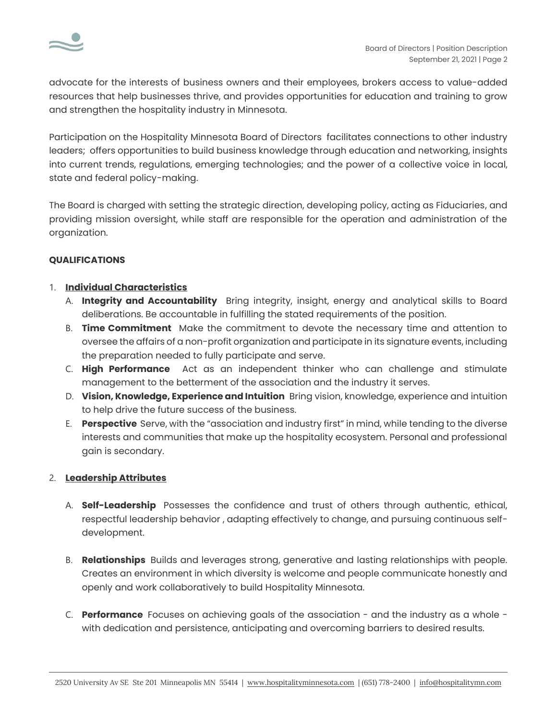

advocate for the interests of business owners and their employees, brokers access to value-added resources that help businesses thrive, and provides opportunities for education and training to grow and strengthen the hospitality industry in Minnesota.

Participation on the Hospitality Minnesota Board of Directors facilitates connections to other [industry](http://www.lifesciencealley.org/members/member_list.aspx)  [leaders;](http://www.lifesciencealley.org/members/member_list.aspx) offers opportunities to build business knowledge throug[h education](http://www.lifesciencealley.org/programs_events/) an[d networking,](http://www.lifesciencealley.org/programs_events/alley_chats.aspx) insights into current trends, regulations, emerging technologies; and the power of a [collective voice](http://www.lifesciencealley.org/about/government_involvement.aspx) in local, state and federal policy-making.

The Board is charged with setting the strategic direction, developing policy, acting as Fiduciaries, and providing mission oversight, while staff are responsible for the operation and administration of the organization.

# **QUALIFICATIONS**

## 1. **Individual Characteristics**

- A. **Integrity and Accountability** Bring integrity, insight, energy and analytical skills to Board deliberations. Be accountable in fulfilling the stated requirements of the position.
- B. **Time Commitment** Make the commitment to devote the necessary time and attention to oversee the affairs of a non-profit organization and participate in its signature events, including the preparation needed to fully participate and serve.
- C. **High Performance** Act as an independent thinker who can challenge and stimulate management to the betterment of the association and the industry it serves.
- D. **Vision, Knowledge, Experience and Intuition** Bring vision, knowledge, experience and intuition to help drive the future success of the business.
- E. **Perspective** Serve, with the "association and industry first" in mind, while tending to the diverse interests and communities that make up the hospitality ecosystem. Personal and professional gain is secondary.

#### 2. **Leadership Attributes**

- A. **Self-Leadership** Possesses the confidence and trust of others through authentic, ethical, respectful leadership behavior , adapting effectively to change, and pursuing continuous selfdevelopment.
- B. **Relationships** Builds and leverages strong, generative and lasting relationships with people. Creates an environment in which diversity is welcome and people communicate honestly and openly and work collaboratively to build Hospitality Minnesota.
- C. **Performance** Focuses on achieving goals of the association and the industry as a whole with dedication and persistence, anticipating and overcoming barriers to desired results.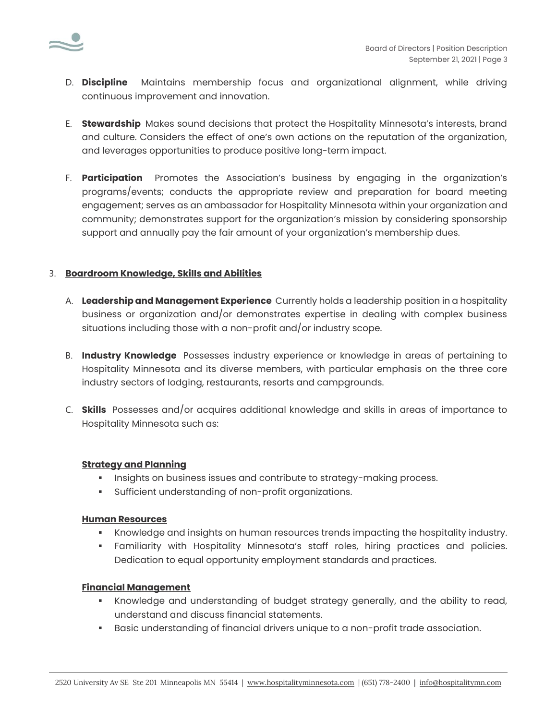

- D. **Discipline** Maintains membership focus and organizational alignment, while driving continuous improvement and innovation.
- E. **Stewardship** Makes sound decisions that protect the Hospitality Minnesota's interests, brand and culture. Considers the effect of one's own actions on the reputation of the organization, and leverages opportunities to produce positive long-term impact.
- F. **Participation** Promotes the Association's business by engaging in the organization's programs/events; conducts the appropriate review and preparation for board meeting engagement; serves as an ambassador for Hospitality Minnesota within your organization and community; demonstrates support for the organization's mission by considering sponsorship support and annually pay the fair amount of your organization's membership dues.

## 3. **Boardroom Knowledge, Skills and Abilities**

- A. **Leadership and Management Experience** Currently holds a leadership position in a hospitality business or organization and/or demonstrates expertise in dealing with complex business situations including those with a non-profit and/or industry scope.
- B. **Industry Knowledge** Possesses industry experience or knowledge in areas of pertaining to Hospitality Minnesota and its diverse members, with particular emphasis on the three core industry sectors of lodging, restaurants, resorts and campgrounds.
- C. **Skills** Possesses and/or acquires additional knowledge and skills in areas of importance to Hospitality Minnesota such as:

#### **Strategy and Planning**

- **•** Insights on business issues and contribute to strategy-making process.
- Sufficient understanding of non-profit organizations.

#### **Human Resources**

- **Knowledge and insights on human resources trends impacting the hospitality industry.**
- **•** Familiarity with Hospitality Minnesota's staff roles, hiring practices and policies. Dedication to equal opportunity employment standards and practices.

#### **Financial Management**

- **•** Knowledge and understanding of budget strategy generally, and the ability to read, understand and discuss financial statements.
- Basic understanding of financial drivers unique to a non-profit trade association.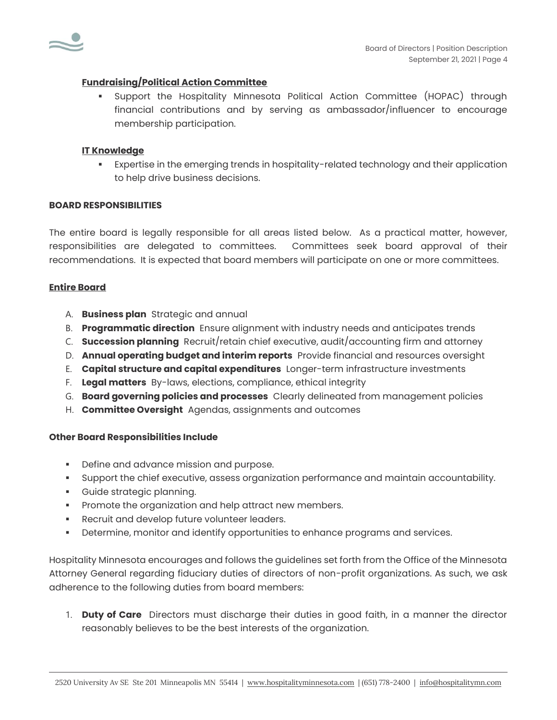

### **Fundraising/Political Action Committee**

▪ Support the Hospitality Minnesota Political Action Committee (HOPAC) through financial contributions and by serving as ambassador/influencer to encourage membership participation.

### **IT Knowledge**

▪ Expertise in the emerging trends in hospitality-related technology and their application to help drive business decisions.

#### **BOARD RESPONSIBILITIES**

The entire board is legally responsible for all areas listed below. As a practical matter, however, responsibilities are delegated to committees. Committees seek board approval of their recommendations. It is expected that board members will participate on one or more committees.

#### **Entire Board**

- A. **Business plan** Strategic and annual
- B. **Programmatic direction** Ensure alignment with industry needs and anticipates trends
- C. **Succession planning** Recruit/retain chief executive, audit/accounting firm and attorney
- D. **Annual operating budget and interim reports** Provide financial and resources oversight
- E. **Capital structure and capital expenditures** Longer-term infrastructure investments
- F. **Legal matters** By-laws, elections, compliance, ethical integrity
- G. **Board governing policies and processes** Clearly delineated from management policies
- H. **Committee Oversight** Agendas, assignments and outcomes

#### **Other Board Responsibilities Include**

- **•** Define and advance mission and purpose.
- Support the chief executive, assess organization performance and maintain accountability.
- Guide strategic planning.
- **•** Promote the organization and help attract new members.
- **•** Recruit and develop future volunteer leaders.
- Determine, monitor and identify opportunities to enhance programs and services.

Hospitality Minnesota encourages and follows the guidelines set forth from the Office of the Minnesota Attorney General regarding fiduciary duties of directors of non-profit organizations. As such, we ask adherence to the following duties from board members:

1. **Duty of Care** Directors must discharge their duties in good faith, in a manner the director reasonably believes to be the best interests of the organization.